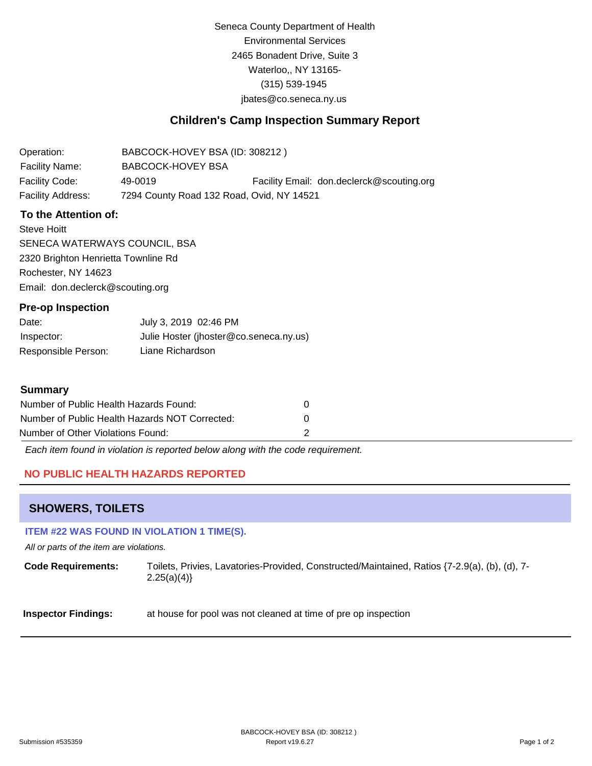Seneca County Department of Health Environmental Services 2465 Bonadent Drive, Suite 3 Waterloo,, NY 13165- (315) 539-1945 [jbates@co.seneca.ny.us](mailto:jbates@co.seneca.ny.us)

## **Children's Camp Inspection Summary Report**

Operation: Facility Name: BABCOCK-HOVEY BSA (ID: 308212 ) BABCOCK-HOVEY BSA Facility Code: 49-0019 49-0019 Facility Email: [don.declerck@scouting.org](mailto:don.declerck@scouting.org) Facility Address: 7294 County Road 132 Road, Ovid, NY 14521

### **To the Attention of:**

Steve Hoitt SENECA WATERWAYS COUNCIL, BSA 2320 Brighton Henrietta Townline Rd Rochester, NY 14623 [Email: don.declerck@scouting.org](mailto:don.declerck@scouting.org)

### **Pre-op Inspection**

| Date:               | July 3, 2019 02:46 PM                  |
|---------------------|----------------------------------------|
| Inspector:          | Julie Hoster (jhoster@co.seneca.ny.us) |
| Responsible Person: | Liane Richardson                       |

### **Summary**

| Number of Public Health Hazards Found:         |          |
|------------------------------------------------|----------|
| Number of Public Health Hazards NOT Corrected: | $\theta$ |
| Number of Other Violations Found:              |          |

*Each item found in violation is reported below along with the code requirement.*

### **NO PUBLIC HEALTH HAZARDS REPORTED**

### **SHOWERS, TOILETS**

### **ITEM #22 WAS FOUND IN VIOLATION 1 TIME(S).**

*All or parts of the item are violations.*

**Code Requirements:** Toilets, Privies, Lavatories-Provided, Constructed/Maintained, Ratios {7-2.9(a), (b), (d), 7-  $2.25(a)(4)$ 

**Inspector Findings:** at house for pool was not cleaned at time of pre op inspection